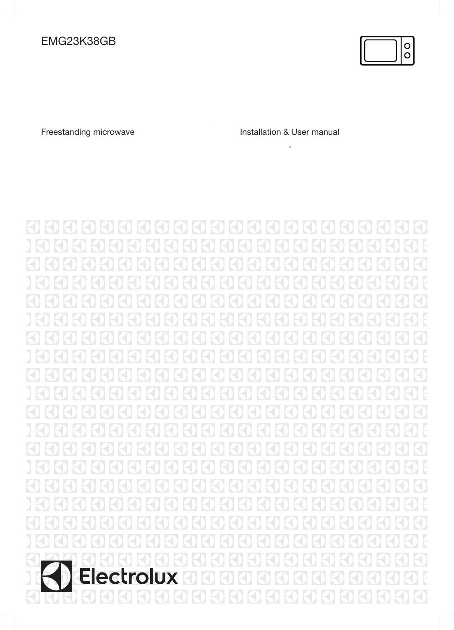

 $\overline{\phantom{a}}$ 

Freestanding microwave **Installation & User manual**  $\mathbf{v}$ 

0  $\left\vert \zeta\right\rangle$  $\prec$ Electrolux <u>3</u>  $\bigcirc$  $\overline{\mathcal{S}}$  $\blacklozenge$  $\leq$ Н  $\boxtimes$  $\boxtimes$  $\prec$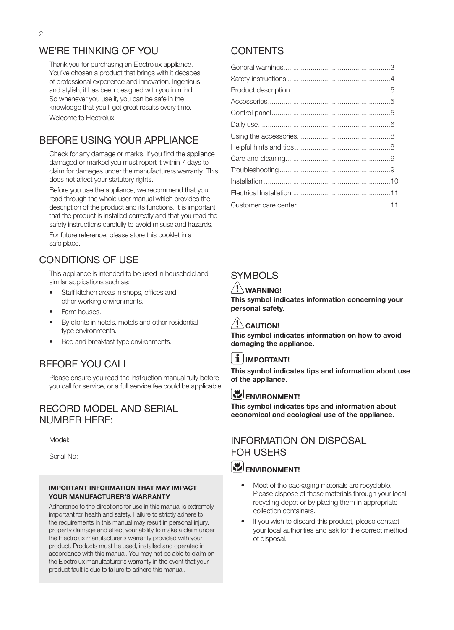### WE'RE THINKING OF YOU

Thank you for purchasing an Electrolux appliance. You've chosen a product that brings with it decades of professional experience and innovation. Ingenious and stylish, it has been designed with you in mind. So whenever you use it, you can be safe in the knowledge that you'll get great results every time. Welcome to Electrolux.

### BEFORE USING YOUR APPLIANCE

Check for any damage or marks. If you find the appliance damaged or marked you must report it within 7 days to claim for damages under the manufacturers warranty. This does not affect your statutory rights.

Before you use the appliance, we recommend that you read through the whole user manual which provides the description of the product and its functions. It is important that the product is installed correctly and that you read the safety instructions carefully to avoid misuse and hazards. For future reference, please store this booklet in a safe place.

### CONDITIONS OF USE

This appliance is intended to be used in household and similar applications such as:

- Staff kitchen areas in shops, offices and other working environments.
- Farm houses.
- By clients in hotels, motels and other residential type environments.
- Bed and breakfast type environments.

## BEFORE YOU CALL

Please ensure you read the instruction manual fully before you call for service, or a full service fee could be applicable.

### RECORD MODEL AND SERIAL NUMBER HERE:

Model:

Serial No: \_\_\_\_\_\_\_

#### IMPORTANT INFORMATION THAT MAY IMPACT YOUR MANUFACTURER'S WARRANTY

Adherence to the directions for use in this manual is extremely important for health and safety. Failure to strictly adhere to the requirements in this manual may result in personal injury, property damage and affect your ability to make a claim under the Electrolux manufacturer's warranty provided with your product. Products must be used, installed and operated in accordance with this manual. You may not be able to claim on the Electrolux manufacturer's warranty in the event that your product fault is due to failure to adhere this manual.

## **CONTENTS**

## SYMBOLS

### $'! \setminus$  WARNING!

This symbol indicates information concerning your personal safety.

### $/!\backslash$  Caution!

This symbol indicates information on how to avoid damaging the appliance.

### $i$  | IMPORTANT!

This symbol indicates tips and information about use of the appliance.

## ENVIRONMENT!

This symbol indicates tips and information about economical and ecological use of the appliance.

### INFORMATION ON DISPOSAL FOR USERS

## ENVIRONMENT!

- Most of the packaging materials are recyclable. Please dispose of these materials through your local recycling depot or by placing them in appropriate collection containers.
- If you wish to discard this product, please contact your local authorities and ask for the correct method of disposal.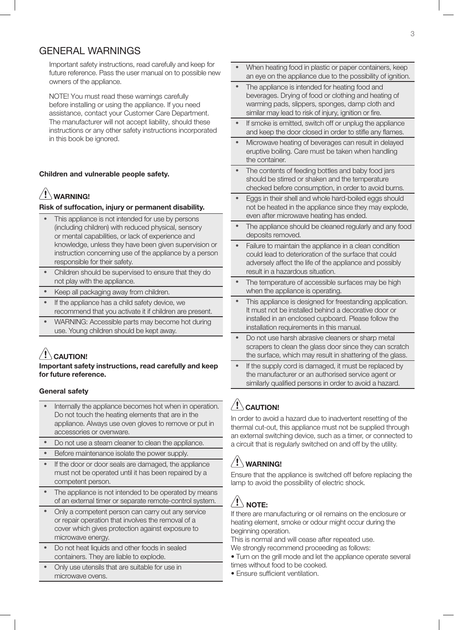### GENERAL WARNINGS

Important safety instructions, read carefully and keep for future reference. Pass the user manual on to possible new owners of the appliance.

NOTE! You must read these warnings carefully before installing or using the appliance. If you need assistance, contact your Customer Care Department. The manufacturer will not accept liability, should these instructions or any other safety instructions incorporated in this book be ignored.

#### Children and vulnerable people safety.

## $/!\backslash$  warning!

#### Risk of suffocation, injury or permanent disability.

- This appliance is not intended for use by persons (including children) with reduced physical, sensory or mental capabilities, or lack of experience and knowledge, unless they have been given supervision or instruction concerning use of the appliance by a person responsible for their safety.
- Children should be supervised to ensure that they do not play with the appliance.
- Keep all packaging away from children.
- If the appliance has a child safety device, we recommend that you activate it if children are present.
- WARNING: Accessible parts may become hot during use. Young children should be kept away.

## $\langle\cdot|\cdot\rangle$  CAUTION!

#### Important safety instructions, read carefully and keep for future reference.

#### General safety

- Internally the appliance becomes hot when in operation. Do not touch the heating elements that are in the appliance. Always use oven gloves to remove or put in accessories or ovenware.
- Do not use a steam cleaner to clean the appliance.
- Before maintenance isolate the power supply.
- If the door or door seals are damaged, the appliance must not be operated until it has been repaired by a competent person.
- The appliance is not intended to be operated by means of an external timer or separate remote-control system.
- Only a competent person can carry out any service or repair operation that involves the removal of a cover which gives protection against exposure to microwave energy.
- Do not heat liquids and other foods in sealed containers. They are liable to explode.
- Only use utensils that are suitable for use in microwave ovens.
- When heating food in plastic or paper containers, keep an eye on the appliance due to the possibility of ignition.
- The appliance is intended for heating food and beverages. Drying of food or clothing and heating of warming pads, slippers, sponges, damp cloth and similar may lead to risk of injury, ignition or fire.
- If smoke is emitted, switch off or unplug the appliance and keep the door closed in order to stifle any flames.
- Microwave heating of beverages can result in delayed eruptive boiling. Care must be taken when handling the container.
- The contents of feeding bottles and baby food jars should be stirred or shaken and the temperature checked before consumption, in order to avoid burns.
- Eggs in their shell and whole hard-boiled eggs should not be heated in the appliance since they may explode, even after microwave heating has ended.
- The appliance should be cleaned regularly and any food deposits removed.
- Failure to maintain the appliance in a clean condition could lead to deterioration of the surface that could adversely affect the life of the appliance and possibly result in a hazardous situation.
- The temperature of accessible surfaces may be high when the appliance is operating.
- This appliance is designed for freestanding application. It must not be installed behind a decorative door or installed in an enclosed cupboard. Please follow the installation requirements in this manual.
- Do not use harsh abrasive cleaners or sharp metal scrapers to clean the glass door since they can scratch the surface, which may result in shattering of the glass.
- If the supply cord is damaged, it must be replaced by the manufacturer or an authorised service agent or similarly qualified persons in order to avoid a hazard.

## $\left/ \mathord! \right\}$  CAUTION!

In order to avoid a hazard due to inadvertent resetting of the thermal cut-out, this appliance must not be supplied through an external switching device, such as a timer, or connected to a circuit that is regularly switched on and off by the utility.

## $\langle ! \rangle$  warning!

Ensure that the appliance is switched off before replacing the lamp to avoid the possibility of electric shock.

## $\langle ! \rangle$  note:

If there are manufacturing or oil remains on the enclosure or heating element, smoke or odour might occur during the beginning operation.

This is normal and will cease after repeated use.

- We strongly recommend proceeding as follows:
- Turn on the grill mode and let the appliance operate several times without food to be cooked.
- Ensure sufficient ventilation.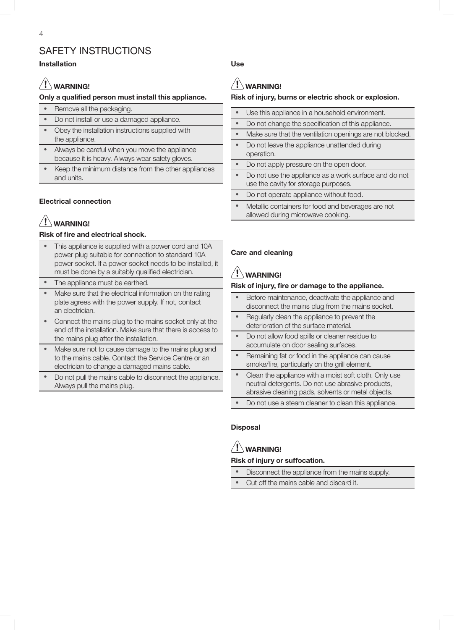## SAFETY INSTRUCTIONS

### Installation

## $/!\backslash$  warning!

### Only a qualified person must install this appliance.

- Remove all the packaging.
- Do not install or use a damaged appliance.
- Obey the installation instructions supplied with the appliance.
- Always be careful when you move the appliance because it is heavy. Always wear safety gloves.
- Keep the minimum distance from the other appliances and units.

### Electrical connection

# WARNING!

### Risk of fire and electrical shock.

- This appliance is supplied with a power cord and 10A power plug suitable for connection to standard 10A power socket. If a power socket needs to be installed, it must be done by a suitably qualified electrician.
- The appliance must be earthed.
- Make sure that the electrical information on the rating plate agrees with the power supply. If not, contact an electrician.
- Connect the mains plug to the mains socket only at the end of the installation. Make sure that there is access to the mains plug after the installation.
- Make sure not to cause damage to the mains plug and to the mains cable. Contact the Service Centre or an electrician to change a damaged mains cable.
- Do not pull the mains cable to disconnect the appliance. Always pull the mains plug.

Use

# $\langle \underline{\textbf{1}} \rangle$  WARNING!

### Risk of injury, burns or electric shock or explosion.

| Use this appliance in a household environment.                                                |
|-----------------------------------------------------------------------------------------------|
| Do not change the specification of this appliance.                                            |
| Make sure that the ventilation openings are not blocked.                                      |
| Do not leave the appliance unattended during<br>operation.                                    |
| Do not apply pressure on the open door.                                                       |
| Do not use the appliance as a work surface and do not<br>use the cavity for storage purposes. |
| Do not operate appliance without food.                                                        |
| Metallic containers for food and beverages are not<br>allowed during microwave cooking.       |

### Care and cleaning

# $\left/ \mathord{\mathsf{!}}\right\}$  warning!

### Risk of injury, fire or damage to the appliance.

- Before maintenance, deactivate the appliance and disconnect the mains plug from the mains socket.
- Regularly clean the appliance to prevent the deterioration of the surface material.
- Do not allow food spills or cleaner residue to accumulate on door sealing surfaces.
- Remaining fat or food in the appliance can cause smoke/fire, particularly on the grill element.
- Clean the appliance with a moist soft cloth. Only use neutral detergents. Do not use abrasive products, abrasive cleaning pads, solvents or metal objects.
- Do not use a steam cleaner to clean this appliance.

### **Disposal**

# $/$ ! $\backslash$  warning!

### Risk of injury or suffocation.

- Disconnect the appliance from the mains supply.
- Cut off the mains cable and discard it.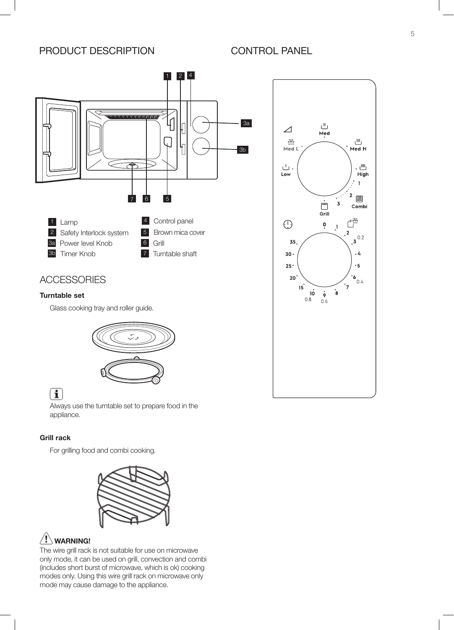### PRODUCT DESCRIPTION



## **ACCESSORIES**

### Turntable set

Glass cooking tray and roller guide.



## $\begin{bmatrix} \mathbf{1} \end{bmatrix}$

Always use the turntable set to prepare food in the appliance.

### Grill rack

For grilling food and combi cooking.



## $\langle\mathbf{l}\rangle$  WARNING!

The wire grill rack is not suitable for use on microwave only mode, it can be used on grill, convection and combi (includes short burst of microwave, which is ok) cooking modes only. Using this wire grill rack on microwave only mode may cause damage to the appliance.

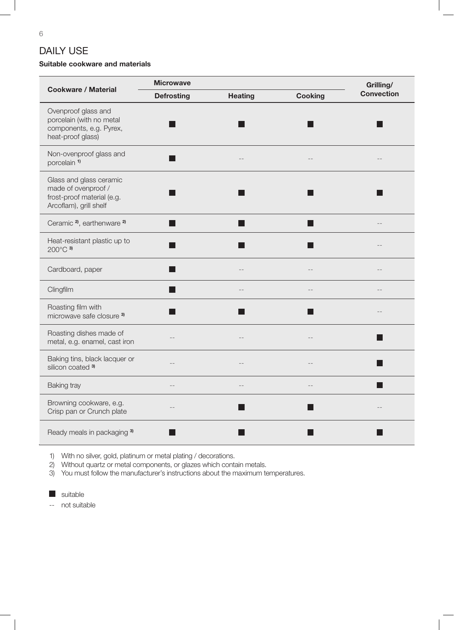## DAILY USE

### Suitable cookware and materials

| <b>Cookware / Material</b>                                                                             | <b>Microwave</b>       |                |                | Grilling/         |
|--------------------------------------------------------------------------------------------------------|------------------------|----------------|----------------|-------------------|
|                                                                                                        | <b>Defrosting</b>      | <b>Heating</b> | <b>Cooking</b> | <b>Convection</b> |
| Ovenproof glass and<br>porcelain (with no metal<br>components, e.g. Pyrex,<br>heat-proof glass)        |                        |                |                |                   |
| Non-ovenproof glass and<br>porcelain <sup>1)</sup>                                                     |                        |                |                |                   |
| Glass and glass ceramic<br>made of ovenproof /<br>frost-proof material (e.g.<br>Arcoflam), grill shelf |                        |                |                |                   |
| Ceramic <sup>2</sup> , earthenware <sup>2)</sup>                                                       | <b>Service Service</b> |                |                |                   |
| Heat-resistant plastic up to<br>200°C 3)                                                               | <b>Service Service</b> |                |                |                   |
| Cardboard, paper                                                                                       |                        |                |                |                   |
| Clingfilm                                                                                              | <b>Service Service</b> |                |                |                   |
| Roasting film with<br>microwave safe closure 3)                                                        |                        |                |                |                   |
| Roasting dishes made of<br>metal, e.g. enamel, cast iron                                               |                        |                |                |                   |
| Baking tins, black lacquer or<br>silicon coated <sup>3)</sup>                                          | $-$                    |                |                |                   |
| <b>Baking tray</b>                                                                                     |                        |                |                |                   |
| Browning cookware, e.g.<br>Crisp pan or Crunch plate                                                   |                        |                |                |                   |
| Ready meals in packaging 3)                                                                            |                        |                |                |                   |

1) With no silver, gold, platinum or metal plating / decorations.

2) Without quartz or metal components, or glazes which contain metals.

3) You must follow the manufacturer's instructions about the maximum temperatures.

suitable

-- not suitable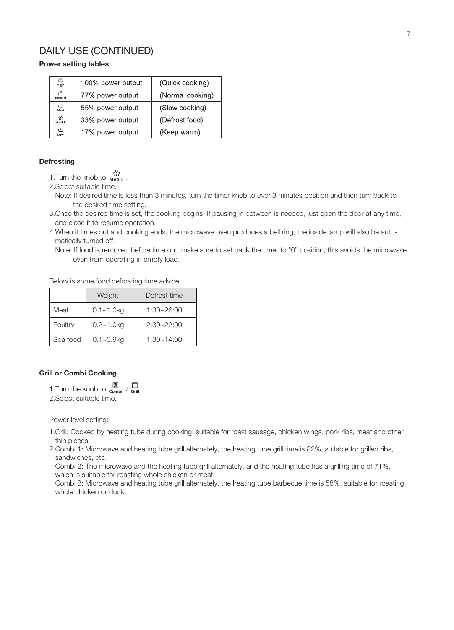### DAILY USE (CONTINUED)

### Power setting tables

| $1^{333}$<br>High                     | 100% power output | (Quick cooking)  |
|---------------------------------------|-------------------|------------------|
| $1^{33}$<br>77% power output<br>Med H |                   | (Normal cooking) |
| $1^{N}$<br>Med                        | 55% power output  | (Slow cooking)   |
| 兴<br>33% power output<br>Med L        |                   | (Defrost food)   |
| i T<br>Low                            | 17% power output  | (Keep warm)      |

#### **Defrosting**

1.Turn the knob to **Med L**.

2.Select suitable time.

 Note: If desired time is less than 3 minutes, turn the timer knob to over 3 minutes position and then turn back to the desired time setting.

3.Once the desired time is set, the cooking begins. If pausing in between is needed, just open the door at any time, and close it to resume operation.

- 4.When it times out and cooking ends, the microwave oven produces a bell ring, the inside lamp will also be auto matically turned off.
	- Note: If food is removed before time out, make sure to set back the timer to "0" position, this avoids the microwave oven from operating in empty load.

Below is some food defrosting time advice:

|          | Weight         | Defrost time   |
|----------|----------------|----------------|
| Meat     | $0.1 - 1.0$ kg | 1:30~26:00     |
| Poultry  | $0.2 - 1.0$ kg | $2:30 - 22:00$ |
| Sea food | $0.1 - 0.9$ kg | $1:30 - 14:00$ |

### Grill or Combi Cooking

1. Turn the knob to  $\overline{\mathbb{E}}$  /  $\overline{\mathbb{E}}$  /  $\overline{\mathbb{E}}$ 2.Select suitable time.

Power level setting:

- 1.Grill: Cooked by heating tube during cooking, suitable for roast sausage, chicken wings, pork ribs, meat and other thin pieces.
- 2.Combi 1: Microwave and heating tube grill alternately, the heating tube grill time is 82%, suitable for grilled ribs, sandwiches, etc.

 Combi 2: The microwave and the heating tube grill alternately, and the heating tube has a grilling time of 71%, which is suitable for roasting whole chicken or meat.

 Combi 3: Microwave and heating tube grill alternately, the heating tube barbecue time is 58%, suitable for roasting whole chicken or duck.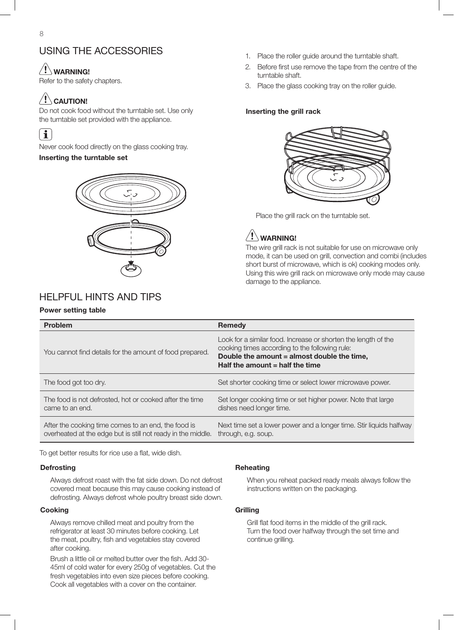### USING THE ACCESSORIES

### $\langle ! \rangle$  warning!

Refer to the safety chapters.

# $\langle\mathord! \Delta$  caution!

Do not cook food without the turntable set. Use only the turntable set provided with the appliance.

## $\left\lceil \mathbf{i} \right\rceil$

Never cook food directly on the glass cooking tray. Inserting the turntable set



## HELPFUL HINTS AND TIPS

#### Power setting table

- 1. Place the roller guide around the turntable shaft.
- 2. Before first use remove the tape from the centre of the turntable shaft.
- 3. Place the glass cooking tray on the roller guide.

#### Inserting the grill rack



Place the grill rack on the turntable set.



The wire grill rack is not suitable for use on microwave only mode, it can be used on grill, convection and combi (includes short burst of microwave, which is ok) cooking modes only. Using this wire grill rack on microwave only mode may cause damage to the appliance.

| Problem                                                                                                             | <b>Remedy</b>                                                                                                                                                                                        |
|---------------------------------------------------------------------------------------------------------------------|------------------------------------------------------------------------------------------------------------------------------------------------------------------------------------------------------|
| You cannot find details for the amount of food prepared.                                                            | Look for a similar food. Increase or shorten the length of the<br>cooking times according to the following rule:<br>Double the amount = almost double the time,<br>Half the amount $=$ half the time |
| The food got too dry.                                                                                               | Set shorter cooking time or select lower microwave power.                                                                                                                                            |
| The food is not defrosted, hot or cooked after the time<br>came to an end.                                          | Set longer cooking time or set higher power. Note that large<br>dishes need longer time.                                                                                                             |
| After the cooking time comes to an end, the food is<br>overheated at the edge but is still not ready in the middle. | Next time set a lower power and a longer time. Stir liquids halfway<br>through, e.g. soup.                                                                                                           |

To get better results for rice use a flat, wide dish.

#### **Defrosting**

Always defrost roast with the fat side down. Do not defrost covered meat because this may cause cooking instead of defrosting. Always defrost whole poultry breast side down.

#### Cooking

Always remove chilled meat and poultry from the refrigerator at least 30 minutes before cooking. Let the meat, poultry, fish and vegetables stay covered after cooking.

Brush a little oil or melted butter over the fish. Add 30- 45ml of cold water for every 250g of vegetables. Cut the fresh vegetables into even size pieces before cooking. Cook all vegetables with a cover on the container.

#### Reheating

When you reheat packed ready meals always follow the instructions written on the packaging.

#### **Grilling**

Grill flat food items in the middle of the grill rack. Turn the food over halfway through the set time and continue grilling.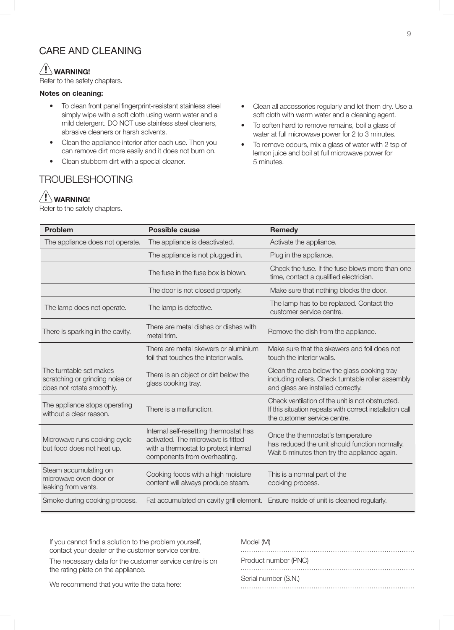### CARE AND CLEANING

### $\left/ \right| \left/ \right.$  WARNING!

Refer to the safety chapters.

### Notes on cleaning:

- To clean front panel fingerprint-resistant stainless steel simply wipe with a soft cloth using warm water and a mild detergent. DO NOT use stainless steel cleaners, abrasive cleaners or harsh solvents.
- Clean the appliance interior after each use. Then you can remove dirt more easily and it does not burn on.
- Clean stubborn dirt with a special cleaner.

## TROUBLESHOOTING

## $\langle \mathbf{I} \rangle$  WARNING!

Refer to the safety chapters.

- Clean all accessories regularly and let them dry. Use a soft cloth with warm water and a cleaning agent.
- To soften hard to remove remains, boil a glass of water at full microwave power for 2 to 3 minutes.
- To remove odours, mix a glass of water with 2 tsp of lemon juice and boil at full microwave power for 5 minutes.

| <b>Problem</b>                                                                          | <b>Possible cause</b>                                                                                                                                 | <b>Remedy</b>                                                                                                                                |  |
|-----------------------------------------------------------------------------------------|-------------------------------------------------------------------------------------------------------------------------------------------------------|----------------------------------------------------------------------------------------------------------------------------------------------|--|
| The appliance does not operate.                                                         | The appliance is deactivated.                                                                                                                         | Activate the appliance.                                                                                                                      |  |
|                                                                                         | The appliance is not plugged in.                                                                                                                      | Plug in the appliance.                                                                                                                       |  |
|                                                                                         | The fuse in the fuse box is blown.                                                                                                                    | Check the fuse. If the fuse blows more than one<br>time, contact a qualified electrician.                                                    |  |
|                                                                                         | The door is not closed properly.                                                                                                                      | Make sure that nothing blocks the door.                                                                                                      |  |
| The lamp does not operate.                                                              | The lamp is defective.                                                                                                                                | The lamp has to be replaced. Contact the<br>customer service centre.                                                                         |  |
| There is sparking in the cavity.                                                        | There are metal dishes or dishes with<br>metal trim.                                                                                                  | Remove the dish from the appliance.                                                                                                          |  |
|                                                                                         | There are metal skewers or aluminium<br>foil that touches the interior walls.                                                                         | Make sure that the skewers and foil does not<br>touch the interior walls.                                                                    |  |
| The turntable set makes<br>scratching or grinding noise or<br>does not rotate smoothly. | There is an object or dirt below the<br>glass cooking tray.                                                                                           | Clean the area below the glass cooking tray<br>including rollers. Check turntable roller assembly<br>and glass are installed correctly.      |  |
| The appliance stops operating<br>without a clear reason.                                | There is a malfunction.                                                                                                                               | Check ventilation of the unit is not obstructed.<br>If this situation repeats with correct installation call<br>the customer service centre. |  |
| Microwave runs cooking cycle<br>but food does not heat up.                              | Internal self-resetting thermostat has<br>activated. The microwave is fitted<br>with a thermostat to protect internal<br>components from overheating. | Once the thermostat's temperature<br>has reduced the unit should function normally.<br>Wait 5 minutes then try the appliance again.          |  |
| Steam accumulating on<br>microwaye oven door or<br>leaking from vents.                  | Cooking foods with a high moisture<br>content will always produce steam.                                                                              | This is a normal part of the<br>cooking process.                                                                                             |  |
| Smoke during cooking process.                                                           |                                                                                                                                                       | Fat accumulated on cavity grill element. Ensure inside of unit is cleaned regularly.                                                         |  |

If you cannot find a solution to the problem yourself, contact your dealer or the customer service centre.

The necessary data for the customer service centre is on the rating plate on the appliance.

### Model (M)

| Product number (PNC) |  |
|----------------------|--|
|                      |  |
| Serial number (S.N.) |  |

### We recommend that you write the data here: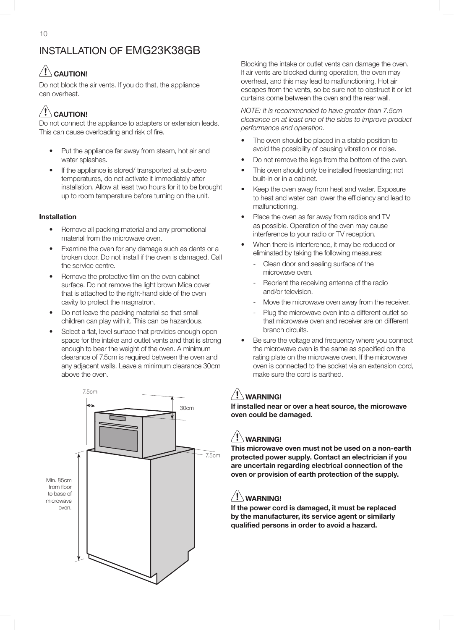# $/$ ! $\backslash$  Caution!

Do not block the air vents. If you do that, the appliance can overheat.

# $\langle \mathbf{l} \rangle$  caution!

Do not connect the appliance to adapters or extension leads. This can cause overloading and risk of fire.

- Put the appliance far away from steam, hot air and water splashes.
- If the appliance is stored/ transported at sub-zero temperatures, do not activate it immediately after installation. Allow at least two hours for it to be brought up to room temperature before turning on the unit.

### Installation

- Remove all packing material and any promotional material from the microwave oven.
- Examine the oven for any damage such as dents or a broken door. Do not install if the oven is damaged. Call the service centre.
- Remove the protective film on the oven cabinet surface. Do not remove the light brown Mica cover that is attached to the right-hand side of the oven cavity to protect the magnatron.
- Do not leave the packing material so that small children can play with it. This can be hazardous.
- Select a flat, level surface that provides enough open space for the intake and outlet vents and that is strong enough to bear the weight of the oven. A minimum clearance of 7.5cm is required between the oven and any adjacent walls. Leave a minimum clearance 30cm above the oven.



Blocking the intake or outlet vents can damage the oven. If air vents are blocked during operation, the oven may overheat, and this may lead to malfunctioning. Hot air escapes from the vents, so be sure not to obstruct it or let curtains come between the oven and the rear wall.

*NOTE: It is recommended to have greater than 7.5cm clearance on at least one of the sides to improve product performance and operation.*

- The oven should be placed in a stable position to avoid the possibility of causing vibration or noise.
- Do not remove the legs from the bottom of the oven.
- This oven should only be installed freestanding; not built-in or in a cabinet.
- Keep the oven away from heat and water. Exposure to heat and water can lower the efficiency and lead to malfunctioning.
- Place the oven as far away from radios and TV as possible. Operation of the oven may cause interference to your radio or TV reception.
- When there is interference, it may be reduced or eliminated by taking the following measures:
	- Clean door and sealing surface of the microwave oven.
	- Reorient the receiving antenna of the radio and/or television.
	- Move the microwave oven away from the receiver.
	- Plug the microwave oven into a different outlet so that microwave oven and receiver are on different branch circuits.
- Be sure the voltage and frequency where you connect the microwave oven is the same as specified on the rating plate on the microwave oven. If the microwave oven is connected to the socket via an extension cord, make sure the cord is earthed.

## $\langle ! \rangle$  WARNING!

If installed near or over a heat source, the microwave oven could be damaged.

## WARNING!

This microwave oven must not be used on a non-earth protected power supply. Contact an electrician if you are uncertain regarding electrical connection of the oven or provision of earth protection of the supply.

## $\langle ! \rangle$  WARNING!

If the power cord is damaged, it must be replaced by the manufacturer, its service agent or similarly qualified persons in order to avoid a hazard.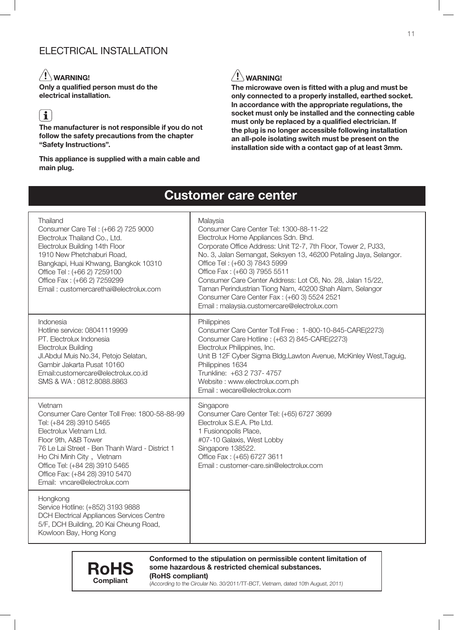## ELECTRICAL INSTALLATION

## $\langle \underline{!}\rangle$  warning!

Only a qualified person must do the electrical installation.

# $\left| \cdot \right|$

The manufacturer is not responsible if you do not follow the safety precautions from the chapter "Safety Instructions".

#### This appliance is supplied with a main cable and main plug.

## $\sqrt{!}$  WARNING!

The microwave oven is fitted with a plug and must be only connected to a properly installed, earthed socket. In accordance with the appropriate regulations, the socket must only be installed and the connecting cable must only be replaced by a qualified electrician. If the plug is no longer accessible following installation an all-pole isolating switch must be present on the installation side with a contact gap of at least 3mm.

# Customer care center

| Thailand<br>Consumer Care Tel: (+66 2) 725 9000<br>Electrolux Thailand Co., Ltd.<br>Electrolux Building 14th Floor<br>1910 New Phetchaburi Road,<br>Bangkapi, Huai Khwang, Bangkok 10310<br>Office Tel: (+66 2) 7259100<br>Office Fax: (+66 2) 7259299<br>Email: customercarethai@electrolux.com                          | Malaysia<br>Consumer Care Center Tel: 1300-88-11-22<br>Electrolux Home Appliances Sdn. Bhd.<br>Corporate Office Address: Unit T2-7, 7th Floor, Tower 2, PJ33,<br>No. 3, Jalan Semangat, Seksyen 13, 46200 Petaling Jaya, Selangor.<br>Office Tel: (+60 3) 7843 5999<br>Office Fax: (+60 3) 7955 5511<br>Consumer Care Center Address: Lot C6, No. 28, Jalan 15/22,<br>Taman Perindustrian Tiong Nam, 40200 Shah Alam, Selangor<br>Consumer Care Center Fax: (+60 3) 5524 2521<br>Email: malaysia.customercare@electrolux.com |
|---------------------------------------------------------------------------------------------------------------------------------------------------------------------------------------------------------------------------------------------------------------------------------------------------------------------------|------------------------------------------------------------------------------------------------------------------------------------------------------------------------------------------------------------------------------------------------------------------------------------------------------------------------------------------------------------------------------------------------------------------------------------------------------------------------------------------------------------------------------|
| Indonesia<br>Hotline service: 08041119999<br>PT. Electrolux Indonesia<br><b>Electrolux Building</b><br>Jl.Abdul Muis No.34, Petojo Selatan,<br>Gambir Jakarta Pusat 10160<br>Email:customercare@electrolux.co.id<br>SMS & WA: 0812.8088.8863                                                                              | Philippines<br>Consumer Care Center Toll Free: 1-800-10-845-CARE(2273)<br>Consumer Care Hotline : (+63 2) 845-CARE(2273)<br>Electrolux Philippines, Inc.<br>Unit B 12F Cyber Sigma Bldg, Lawton Avenue, McKinley West, Taguig,<br>Philippines 1634<br>Trunkline: +63 2 737- 4757<br>Website: www.electrolux.com.ph<br>Email: wecare@electrolux.com                                                                                                                                                                           |
| Vietnam<br>Consumer Care Center Toll Free: 1800-58-88-99<br>Tel: (+84 28) 3910 5465<br>Electrolux Vietnam Ltd.<br>Floor 9th, A&B Tower<br>76 Le Lai Street - Ben Thanh Ward - District 1<br>Ho Chi Minh City, Vietnam<br>Office Tel: (+84 28) 3910 5465<br>Office Fax: (+84 28) 3910 5470<br>Email: vncare@electrolux.com | Singapore<br>Consumer Care Center Tel: (+65) 6727 3699<br>Electrolux S.E.A. Pte Ltd.<br>1 Fusionopolis Place,<br>#07-10 Galaxis, West Lobby<br>Singapore 138522.<br>Office Fax: (+65) 6727 3611<br>Email: customer-care.sin@electrolux.com                                                                                                                                                                                                                                                                                   |
| Hongkong<br>Service Hotline: (+852) 3193 9888<br><b>DCH Electrical Appliances Services Centre</b><br>5/F, DCH Building, 20 Kai Cheung Road,<br>Kowloon Bay, Hong Kong                                                                                                                                                     |                                                                                                                                                                                                                                                                                                                                                                                                                                                                                                                              |